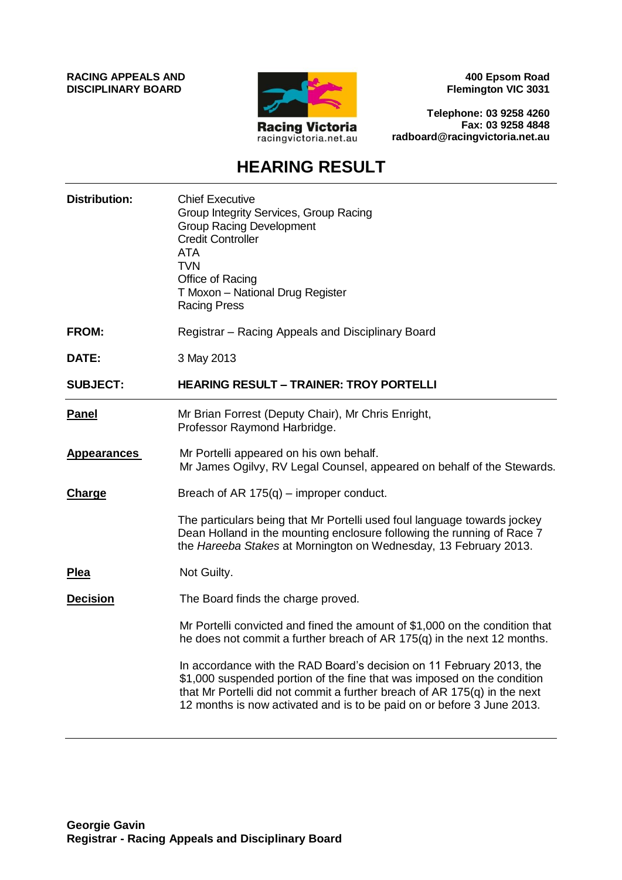**RACING APPEALS AND DISCIPLINARY BOARD**



**400 Epsom Road Flemington VIC 3031**

**Telephone: 03 9258 4260 Fax: 03 9258 4848 radboard@racingvictoria.net.au**

## **HEARING RESULT**

| <b>Distribution:</b> | <b>Chief Executive</b><br>Group Integrity Services, Group Racing<br><b>Group Racing Development</b><br><b>Credit Controller</b><br><b>ATA</b><br><b>TVN</b><br>Office of Racing<br>T Moxon - National Drug Register<br><b>Racing Press</b>                                                               |
|----------------------|----------------------------------------------------------------------------------------------------------------------------------------------------------------------------------------------------------------------------------------------------------------------------------------------------------|
| <b>FROM:</b>         | Registrar - Racing Appeals and Disciplinary Board                                                                                                                                                                                                                                                        |
| <b>DATE:</b>         | 3 May 2013                                                                                                                                                                                                                                                                                               |
| <b>SUBJECT:</b>      | <b>HEARING RESULT - TRAINER: TROY PORTELLI</b>                                                                                                                                                                                                                                                           |
| Panel                | Mr Brian Forrest (Deputy Chair), Mr Chris Enright,<br>Professor Raymond Harbridge.                                                                                                                                                                                                                       |
| <b>Appearances</b>   | Mr Portelli appeared on his own behalf.<br>Mr James Ogilvy, RV Legal Counsel, appeared on behalf of the Stewards.                                                                                                                                                                                        |
| <b>Charge</b>        | Breach of AR $175(q)$ – improper conduct.                                                                                                                                                                                                                                                                |
|                      | The particulars being that Mr Portelli used foul language towards jockey<br>Dean Holland in the mounting enclosure following the running of Race 7<br>the Hareeba Stakes at Mornington on Wednesday, 13 February 2013.                                                                                   |
| <b>Plea</b>          | Not Guilty.                                                                                                                                                                                                                                                                                              |
| <b>Decision</b>      | The Board finds the charge proved.                                                                                                                                                                                                                                                                       |
|                      | Mr Portelli convicted and fined the amount of \$1,000 on the condition that<br>he does not commit a further breach of AR 175(q) in the next 12 months.                                                                                                                                                   |
|                      | In accordance with the RAD Board's decision on 11 February 2013, the<br>\$1,000 suspended portion of the fine that was imposed on the condition<br>that Mr Portelli did not commit a further breach of AR $175(q)$ in the next<br>12 months is now activated and is to be paid on or before 3 June 2013. |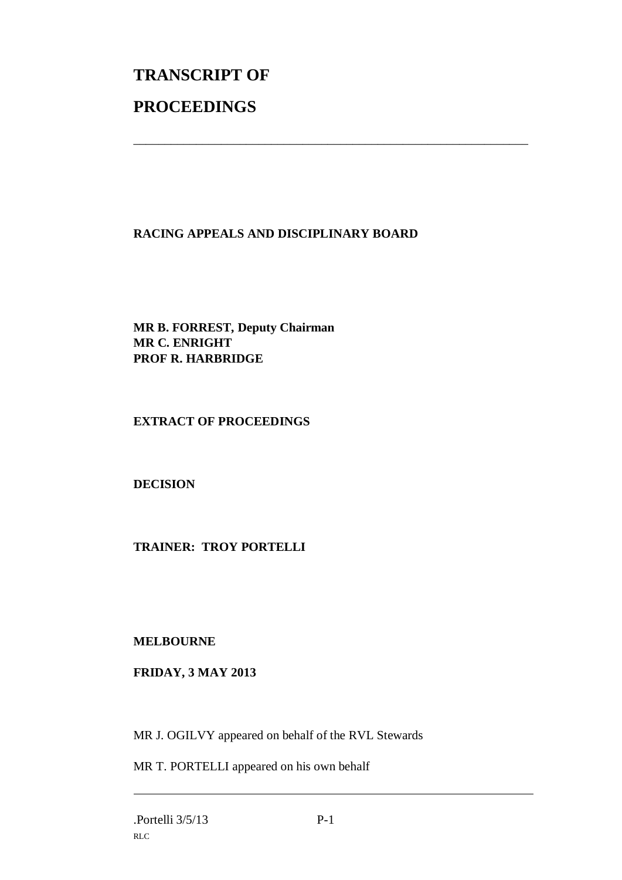## **TRANSCRIPT OF PROCEEDINGS**

## **RACING APPEALS AND DISCIPLINARY BOARD**

\_\_\_\_\_\_\_\_\_\_\_\_\_\_\_\_\_\_\_\_\_\_\_\_\_\_\_\_\_\_\_\_\_\_\_\_\_\_\_\_\_\_\_\_\_\_\_\_\_\_\_\_\_\_\_\_\_\_\_\_\_\_\_

**MR B. FORREST, Deputy Chairman MR C. ENRIGHT PROF R. HARBRIDGE**

**EXTRACT OF PROCEEDINGS**

**DECISION**

**TRAINER: TROY PORTELLI**

**MELBOURNE**

**FRIDAY, 3 MAY 2013**

MR J. OGILVY appeared on behalf of the RVL Stewards

MR T. PORTELLI appeared on his own behalf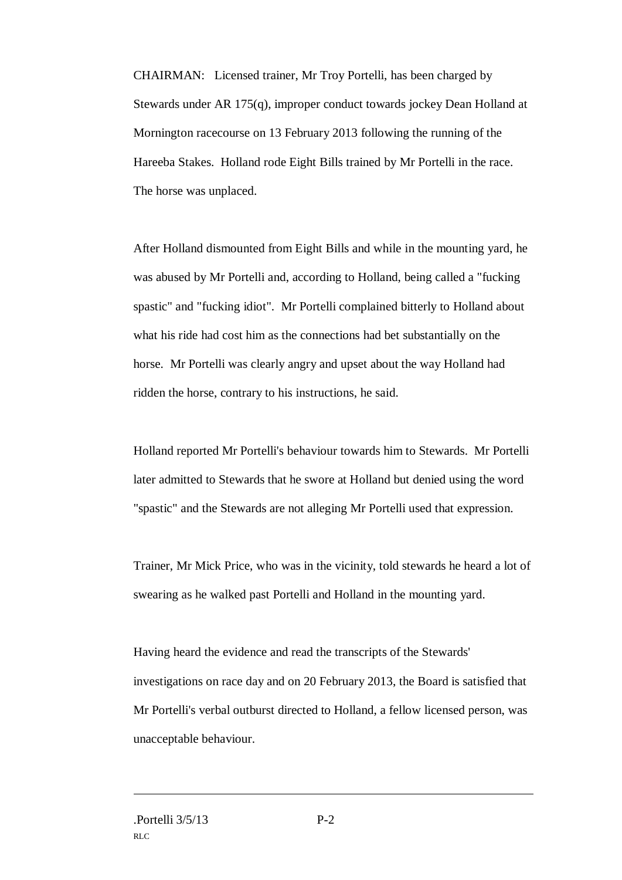CHAIRMAN: Licensed trainer, Mr Troy Portelli, has been charged by Stewards under AR 175(q), improper conduct towards jockey Dean Holland at Mornington racecourse on 13 February 2013 following the running of the Hareeba Stakes. Holland rode Eight Bills trained by Mr Portelli in the race. The horse was unplaced.

After Holland dismounted from Eight Bills and while in the mounting yard, he was abused by Mr Portelli and, according to Holland, being called a "fucking spastic" and "fucking idiot". Mr Portelli complained bitterly to Holland about what his ride had cost him as the connections had bet substantially on the horse. Mr Portelli was clearly angry and upset about the way Holland had ridden the horse, contrary to his instructions, he said.

Holland reported Mr Portelli's behaviour towards him to Stewards. Mr Portelli later admitted to Stewards that he swore at Holland but denied using the word "spastic" and the Stewards are not alleging Mr Portelli used that expression.

Trainer, Mr Mick Price, who was in the vicinity, told stewards he heard a lot of swearing as he walked past Portelli and Holland in the mounting yard.

Having heard the evidence and read the transcripts of the Stewards' investigations on race day and on 20 February 2013, the Board is satisfied that Mr Portelli's verbal outburst directed to Holland, a fellow licensed person, was unacceptable behaviour.